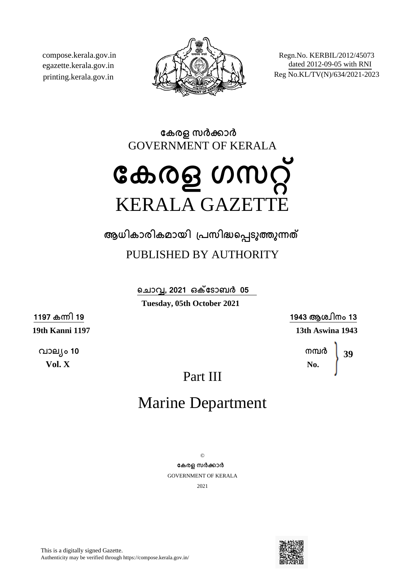compose.kerala.gov.in egazette.kerala.gov.in printing.kerala.gov.in



Regn.No. KERBIL/2012/45073 dated 2012-09-05 with RNI Reg No.KL/TV(N)/634/2021-2023

**േകരള സരകാര** GOVERNMENT OF KERALA

# **േകരള ഗസറ്** KERALA GAZETTE

**ആധികാരികമായി ്പസിദെപടുതുനത** PUBLISHED BY AUTHORITY

> **െചാവ, 2021 ഒകേടാബര 05 Tuesday, 05th October 2021**

> > **1943 ആശ്ിനം 13 13th Aswina 1943**

> > > **നമര No. 39**

Part III

## Marine Department

 $\odot$ **േകരള സരകാര** GOVERNMENT OF KERALA 2021



This is a digitally signed Gazette. Authenticity may be verified through https://compose.kerala.gov.in/

**1197 കനി 19 19th Kanni 1197**

**വാല്ം 10 Vol. X**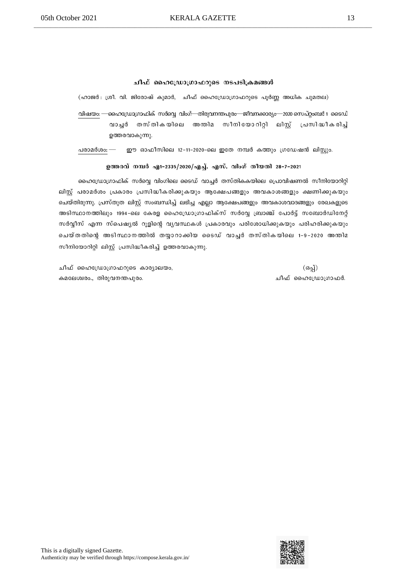#### ചീഫ് ഹൈഡ്രോഗ്രാഫറുടെ നടപടിക്രമങ്ങൾ

(ഹാജർ: ശ്രീ. വി. ജിരോഷ് കുമാർ, ചീഫ് ഹൈഡ്രോഗ്രാഫറുടെ പൂർണ്ണ അധിക ചുമതല) വിഷയം: —ഹൈഡ്രോഗ്രാഫിക് സർവ്വെ വിംഗ്—തിരുവനന്തപുരം—ജീവനക്കാര്യം—2020 സെപ്റ്റംബർ 1 ടൈഡ് വാച്ദ് തസ്തികയിലെ അന്തിമ സീനിയോറിറ്റി ലിസ് പ്രസിദ്ധീകരിച്ച് ഉത്തരവാകുന്നു.

പരാമർശം: — ഈ ഓഫീസിലെ 12-11-2020-ലെ ഇതേ നമ്പർ കത്തും ഗ്രഡേഷൻ ലിസ്റ്റും.

#### ഉത്തരവ് നമ്പർ എ1-2335/2020/എച്ച്. എസ്. വിംഗ് തീയതി 28-7-2021

ഹൈഡ്രോഗ്രാഫിക് സർവ്വെ വിംഗിലെ ടൈഡ് വാച്ചർ തസ്തികകയിലെ പ്രൊവിഷണൽ സീനിയോറിറ്റി ലിസ്റ്റ് പരാമർശം പ്രകാരം പ്രസിദ്ധീകരിക്കുകയും ആക്ഷേപങ്ങളും അവകാശങ്ങളും ക്ഷണിക്കുകയും ചെയ്തിരുന്നു. പ്രസ്തുത ലിസ്റ്റ് സംബന്ധിച്ച് ലഭിച്ച എല്ലാ ആക്ഷേപങ്ങളും അവകാശവാദങ്ങളും രേഖകളുടെ അടിസ്ഥാനത്തിലും 1994-ലെ കേരള ഹൈഡ്രോഗ്രാഫിക്സ് സർവ്വേ ബ്രാഞ്ച് പോർട്ട് സബോർഡിനേറ്റ് സർവ്വീസ് എന്ന സ്പെഷ്യൽ റൂളിന്റെ വ്യവസ്ഥകൾ പ്രകാരവും പരിശോധിക്കുകയും പരിഹരിക്കുകയും ചെയ്തതിന്റെ അടിസ്ഥാനത്തിൽ തയ്യാറാക്കിയ ടൈഡ് വാച്ചർ തസ്തികയിലെ 1-9-2020 അന്തിമ സീനിയോറിറ്റി ലിസ്റ്റ് പ്രസിദ്ധീകരിച്ച് ഉത്തരവാകുന്നു.

ചീഫ് ഹൈഡ്രോഗ്രാഫറുടെ കാര്യാലയം, കമലേശ്വരം., തിരുവനന്തപുരം.

(ഒപ്പ്) ചീഫ് ഹൈഡ്രോഗ്രാഫർ.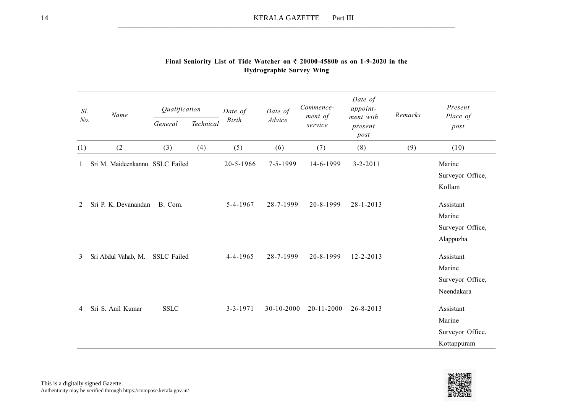| Sl.     | Name                            | Qualification      |           | Date of        | Date of        | Commence-<br>ment of | Date of<br>appoint-          | Remarks | Present                                                |
|---------|---------------------------------|--------------------|-----------|----------------|----------------|----------------------|------------------------------|---------|--------------------------------------------------------|
| No.     |                                 | General            | Technical | <b>Birth</b>   | Advice         | service              | ment with<br>present<br>post |         | Place of<br>post                                       |
| (1)     | (2)                             | (3)                | (4)       | (5)            | (6)            | (7)                  | (8)                          | (9)     | (10)                                                   |
|         | Sri M. Maideenkannu SSLC Failed |                    |           | 20-5-1966      | $7 - 5 - 1999$ | 14-6-1999            | $3 - 2 - 2011$               |         | Marine<br>Surveyor Office,<br>Kollam                   |
| $2^{1}$ | Sri P. K. Devanandan            | B. Com.            |           | $5 - 4 - 1967$ | 28-7-1999      | 20-8-1999            | $28 - 1 - 2013$              |         | Assistant<br>Marine<br>Surveyor Office,<br>Alappuzha   |
| 3       | Sri Abdul Vahab, M.             | <b>SSLC</b> Failed |           | $4 - 4 - 1965$ | 28-7-1999      | 20-8-1999            | $12 - 2 - 2013$              |         | Assistant<br>Marine<br>Surveyor Office,<br>Neendakara  |
| 4       | Sri S. Anil Kumar               | <b>SSLC</b>        |           | $3 - 3 - 1971$ | 30-10-2000     | 20-11-2000           | $26 - 8 - 2013$              |         | Assistant<br>Marine<br>Surveyor Office,<br>Kottappuram |

### Final Seniority List of Tide Watcher on  $\bar{\tau}$  20000-45800 as on 1-9-2020 in the Hydrographic Survey Wing

\_\_\_\_\_\_\_\_\_\_\_\_\_\_\_\_\_\_\_\_\_\_\_\_\_\_\_\_\_\_\_\_\_\_\_\_\_\_\_\_\_\_\_\_\_\_\_\_\_\_\_\_\_\_\_\_\_\_\_\_\_\_\_\_\_\_\_\_\_\_\_\_\_\_\_\_\_\_\_\_\_\_\_\_\_\_\_\_\_\_\_\_\_\_\_\_\_\_\_\_\_\_\_\_\_\_\_\_\_\_\_\_\_\_\_\_\_\_\_\_\_\_\_\_